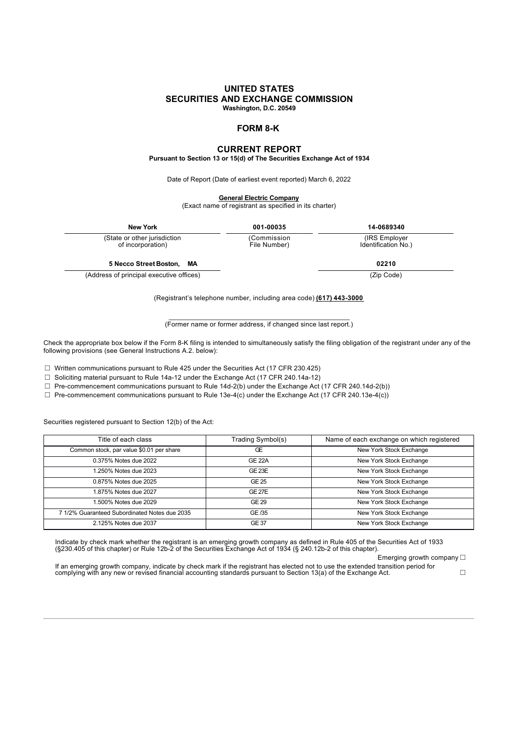### **UNITED STATES SECURITIES AND EXCHANGE COMMISSION Washington, D.C. 20549**

# **FORM 8-K**

## **CURRENT REPORT**

**Pursuant to Section 13 or 15(d) of The Securities Exchange Act of 1934**

Date of Report (Date of earliest event reported) March 6, 2022

**General Electric Company**

(Exact name of registrant as specified in its charter)

| <b>New York</b>                                   | 001-00035                   | 14-0689340                            |  |
|---------------------------------------------------|-----------------------------|---------------------------------------|--|
| (State or other jurisdiction<br>of incorporation) | (Commission<br>File Number) | (IRS Employer)<br>Identification No.) |  |
| 5 Necco Street Boston, MA                         |                             | 02210                                 |  |
| (Address of principal executive offices)          |                             | (Zip Code)                            |  |

(Registrant's telephone number, including area code) **(617) 443-3000**

\_\_\_\_\_\_\_\_\_\_\_\_\_\_\_\_\_\_\_\_\_\_\_\_\_\_\_\_\_\_\_\_\_\_\_\_\_\_\_\_\_\_\_\_\_\_\_ (Former name or former address, if changed since last report.)

Check the appropriate box below if the Form 8-K filing is intended to simultaneously satisfy the filing obligation of the registrant under any of the following provisions (see General Instructions A.2. below):

☐ Written communications pursuant to Rule 425 under the Securities Act (17 CFR 230.425)

☐ Soliciting material pursuant to Rule 14a-12 under the Exchange Act (17 CFR 240.14a-12)

☐ Pre-commencement communications pursuant to Rule 14d-2(b) under the Exchange Act (17 CFR 240.14d-2(b))

 $\Box$  Pre-commencement communications pursuant to Rule 13e-4(c) under the Exchange Act (17 CFR 240.13e-4(c))

Securities registered pursuant to Section 12(b) of the Act:

| Title of each class                           | Trading Symbol(s) | Name of each exchange on which registered |
|-----------------------------------------------|-------------------|-------------------------------------------|
| Common stock, par value \$0.01 per share      | Œ                 | New York Stock Exchange                   |
| 0.375% Notes due 2022                         | <b>GE 22A</b>     | New York Stock Exchange                   |
| 1.250% Notes due 2023                         | $GE$ 23 $E$       | New York Stock Exchange                   |
| 0.875% Notes due 2025                         | GE 25             | New York Stock Exchange                   |
| 1.875% Notes due 2027                         | GE27E             | New York Stock Exchange                   |
| 1.500% Notes due 2029                         | GE 29             | New York Stock Exchange                   |
| 7 1/2% Guaranteed Subordinated Notes due 2035 | GE /35            | New York Stock Exchange                   |
| 2.125% Notes due 2037                         | <b>GE 37</b>      | New York Stock Exchange                   |

Indicate by check mark whether the registrant is an emerging growth company as defined in Rule 405 of the Securities Act of 1933 (§230.405 of this chapter) or Rule 12b-2 of the Securities Exchange Act of 1934 (§ 240.12b-2 of this chapter).

Emerging growth company □

If an emerging growth company, indicate by check mark if the registrant has elected not to use the extended transition period for complying with any new or revised financial accounting standards pursuant to Section 13(a) of the Exchange Act. ☐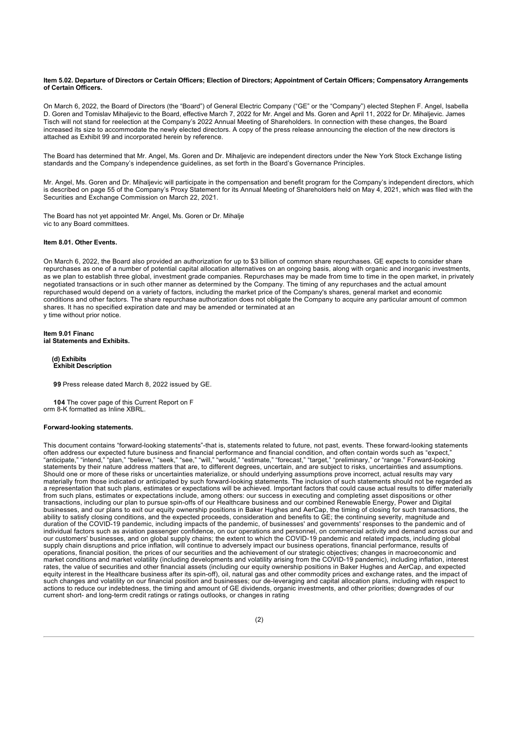#### **Item 5.02. Departure of Directors or Certain Officers; Election of Directors; Appointment of Certain Officers; Compensatory Arrangements of Certain Officers.**

On March 6, 2022, the Board of Directors (the "Board") of General Electric Company ("GE" or the "Company") elected Stephen F. Angel, Isabella D. Goren and Tomislav Mihaljevic to the Board, effective March 7, 2022 for Mr. Angel and Ms. Goren and April 11, 2022 for Dr. Mihaljevic. James Tisch will not stand for reelection at the Company's 2022 Annual Meeting of Shareholders. In connection with these changes, the Board increased its size to accommodate the newly elected directors. A copy of the press release announcing the election of the new directors is attached as Exhibit 99 and incorporated herein by reference.

The Board has determined that Mr. Angel, Ms. Goren and Dr. Mihaljevic are independent directors under the New York Stock Exchange listing standards and the Company's independence guidelines, as set forth in the Board's Governance Principles.

Mr. Angel, Ms. Goren and Dr. Mihaljevic will participate in the compensation and benefit program for the Company's independent directors, which is described on page 55 of the Company's Proxy Statement for its Annual Meeting of Shareholders held on May 4, 2021, which was filed with the Securities and Exchange Commission on March 22, 2021.

The Board has not yet appointed Mr. Angel, Ms. Goren or Dr. Mihalje vic to any Board committees.

### **Item 8.01. Other Events.**

On March 6, 2022, the Board also provided an authorization for up to \$3 billion of common share repurchases. GE expects to consider share repurchases as one of a number of potential capital allocation alternatives on an ongoing basis, along with organic and inorganic investments, as we plan to establish three global, investment grade companies. Repurchases may be made from time to time in the open market, in privately negotiated transactions or in such other manner as determined by the Company. The timing of any repurchases and the actual amount repurchased would depend on a variety of factors, including the market price of the Company's shares, general market and economic conditions and other factors. The share repurchase authorization does not obligate the Company to acquire any particular amount of common shares. It has no specified expiration date and may be amended or terminated at an y time without prior notice.

#### **Item 9.01 Financ ial Statements and Exhibits.**

**(d) Exhibits Exhibit Description**

**[99](geex99xgebod_382022xpressr.htm)** Press release dated March 8, 2022 issued by GE.

**104** The cover page of this Current Report on F orm 8-K formatted as Inline XBRL.

### **Forward-looking statements.**

This document contains "forward-looking statements"-that is, statements related to future, not past, events. These forward-looking statements often address our expected future business and financial performance and financial condition, and often contain words such as "expect," "anticipate," "intend," "plan," "believe," "seek," "see," "will," "would," "estimate," "forecast," "target," "preliminary," or "range." Forward-looking statements by their nature address matters that are, to different degrees, uncertain, and are subject to risks, uncertainties and assumptions. Should one or more of these risks or uncertainties materialize, or should underlying assumptions prove incorrect, actual results may vary materially from those indicated or anticipated by such forward-looking statements. The inclusion of such statements should not be regarded as a representation that such plans, estimates or expectations will be achieved. Important factors that could cause actual results to differ materially from such plans, estimates or expectations include, among others: our success in executing and completing asset dispositions or other transactions, including our plan to pursue spin-offs of our Healthcare business and our combined Renewable Energy, Power and Digital businesses, and our plans to exit our equity ownership positions in Baker Hughes and AerCap, the timing of closing for such transactions, the ability to satisfy closing conditions, and the expected proceeds, consideration and benefits to GE; the continuing severity, magnitude and duration of the COVID-19 pandemic, including impacts of the pandemic, of businesses' and governments' responses to the pandemic and of individual factors such as aviation passenger confidence, on our operations and personnel, on commercial activity and demand across our and our customers' businesses, and on global supply chains; the extent to which the COVID-19 pandemic and related impacts, including global supply chain disruptions and price inflation, will continue to adversely impact our business operations, financial performance, results of operations, financial position, the prices of our securities and the achievement of our strategic objectives; changes in macroeconomic and market conditions and market volatility (including developments and volatility arising from the COVID-19 pandemic), including inflation, interest rates, the value of securities and other financial assets (including our equity ownership positions in Baker Hughes and AerCap, and expected equity interest in the Healthcare business after its spin-off), oil, natural gas and other commodity prices and exchange rates, and the impact of such changes and volatility on our financial position and businesses; our de-leveraging and capital allocation plans, including with respect to actions to reduce our indebtedness, the timing and amount of GE dividends, organic investments, and other priorities; downgrades of our current short- and long-term credit ratings or ratings outlooks, or changes in rating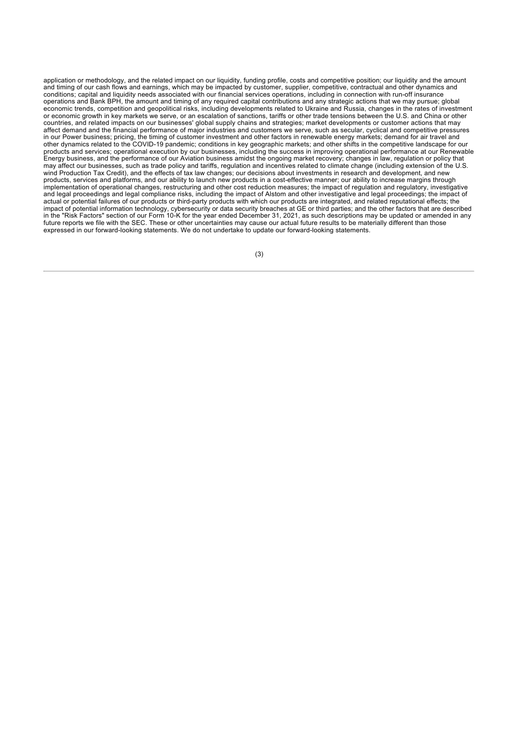application or methodology, and the related impact on our liquidity, funding profile, costs and competitive position; our liquidity and the amount and timing of our cash flows and earnings, which may be impacted by customer, supplier, competitive, contractual and other dynamics and conditions; capital and liquidity needs associated with our financial services operations, including in connection with run-off insurance operations and Bank BPH, the amount and timing of any required capital contributions and any strategic actions that we may pursue; global economic trends, competition and geopolitical risks, including developments related to Ukraine and Russia, changes in the rates of investment or economic growth in key markets we serve, or an escalation of sanctions, tariffs or other trade tensions between the U.S. and China or other countries, and related impacts on our businesses' global supply chains and strategies; market developments or customer actions that may affect demand and the financial performance of major industries and customers we serve, such as secular, cyclical and competitive pressures in our Power business; pricing, the timing of customer investment and other factors in renewable energy markets; demand for air travel and other dynamics related to the COVID-19 pandemic; conditions in key geographic markets; and other shifts in the competitive landscape for our products and services; operational execution by our businesses, including the success in improving operational performance at our Renewable Energy business, and the performance of our Aviation business amidst the ongoing market recovery; changes in law, regulation or policy that may affect our businesses, such as trade policy and tariffs, regulation and incentives related to climate change (including extension of the U.S. wind Production Tax Credit), and the effects of tax law changes; our decisions about investments in research and development, and new products, services and platforms, and our ability to launch new products in a cost-effective manner; our ability to increase margins through implementation of operational changes, restructuring and other cost reduction measures; the impact of regulation and regulatory, investigative and legal proceedings and legal compliance risks, including the impact of Alstom and other investigative and legal proceedings; the impact of actual or potential failures of our products or third-party products with which our products are integrated, and related reputational effects; the impact of potential information technology, cybersecurity or data security breaches at GE or third parties; and the other factors that are described in the "Risk Factors" section of our Form 10-K for the year ended December 31, 2021, as such descriptions may be updated or amended in any future reports we file with the SEC. These or other uncertainties may cause our actual future results to be materially different than those expressed in our forward-looking statements. We do not undertake to update our forward-looking statements.

(3)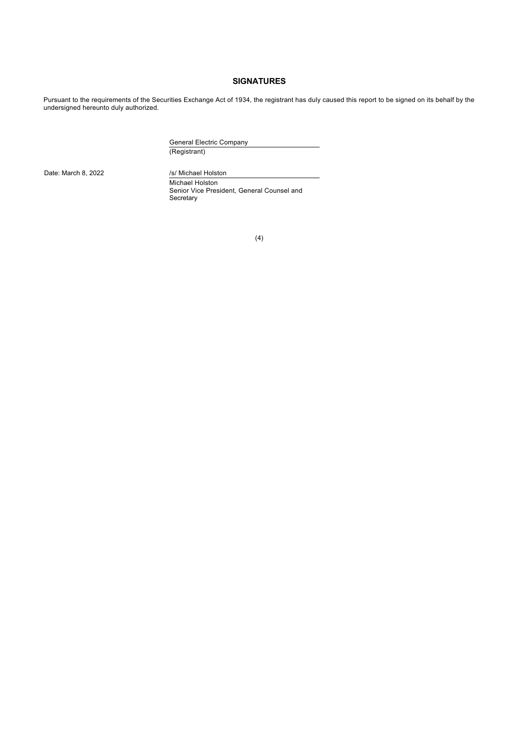### **SIGNATURES**

Pursuant to the requirements of the Securities Exchange Act of 1934, the registrant has duly caused this report to be signed on its behalf by the undersigned hereunto duly authorized.

> General Electric Company (Registrant)

Date: March 8, 2022 /s/ Michael Holston Michael Holston Senior Vice President, General Counsel and Secretary

(4)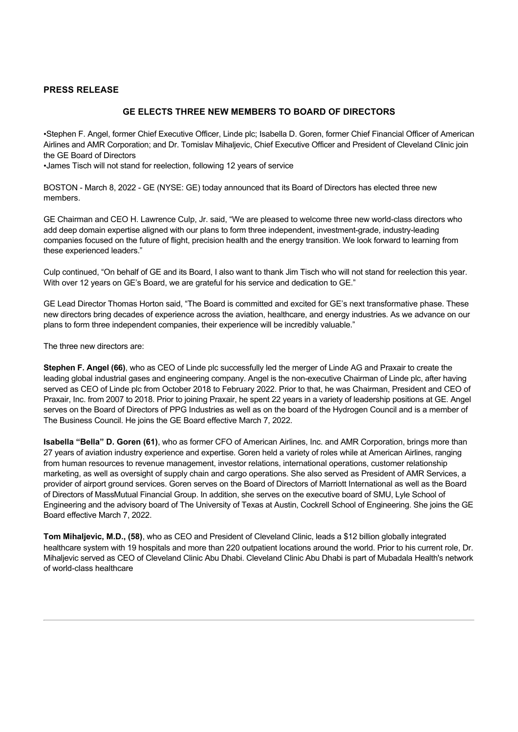## **PRESS RELEASE**

### **GE ELECTS THREE NEW MEMBERS TO BOARD OF DIRECTORS**

•Stephen F. Angel, former Chief Executive Officer, Linde plc; Isabella D. Goren, former Chief Financial Officer of American Airlines and AMR Corporation; and Dr. Tomislav Mihaljevic, Chief Executive Officer and President of Cleveland Clinic join the GE Board of Directors

•James Tisch will not stand for reelection, following 12 years of service

BOSTON - March 8, 2022 - GE (NYSE: GE) today announced that its Board of Directors has elected three new members.

GE Chairman and CEO H. Lawrence Culp, Jr. said, "We are pleased to welcome three new world-class directors who add deep domain expertise aligned with our plans to form three independent, investment-grade, industry-leading companies focused on the future of flight, precision health and the energy transition. We look forward to learning from these experienced leaders."

Culp continued, "On behalf of GE and its Board, I also want to thank Jim Tisch who will not stand for reelection this year. With over 12 years on GE's Board, we are grateful for his service and dedication to GE."

GE Lead Director Thomas Horton said, "The Board is committed and excited for GE's next transformative phase. These new directors bring decades of experience across the aviation, healthcare, and energy industries. As we advance on our plans to form three independent companies, their experience will be incredibly valuable."

The three new directors are:

**Stephen F. Angel (66)**, who as CEO of Linde plc successfully led the merger of Linde AG and Praxair to create the leading global industrial gases and engineering company. Angel is the non-executive Chairman of Linde plc, after having served as CEO of Linde plc from October 2018 to February 2022. Prior to that, he was Chairman, President and CEO of Praxair, Inc. from 2007 to 2018. Prior to joining Praxair, he spent 22 years in a variety of leadership positions at GE. Angel serves on the Board of Directors of PPG Industries as well as on the board of the Hydrogen Council and is a member of The Business Council. He joins the GE Board effective March 7, 2022.

**Isabella "Bella" D. Goren (61)**, who as former CFO of American Airlines, Inc. and AMR Corporation, brings more than 27 years of aviation industry experience and expertise. Goren held a variety of roles while at American Airlines, ranging from human resources to revenue management, investor relations, international operations, customer relationship marketing, as well as oversight of supply chain and cargo operations. She also served as President of AMR Services, a provider of airport ground services. Goren serves on the Board of Directors of Marriott International as well as the Board of Directors of MassMutual Financial Group. In addition, she serves on the executive board of SMU, Lyle School of Engineering and the advisory board of The University of Texas at Austin, Cockrell School of Engineering. She joins the GE Board effective March 7, 2022.

**Tom Mihaljevic, M.D., (58)**, who as CEO and President of Cleveland Clinic, leads a \$12 billion globally integrated healthcare system with 19 hospitals and more than 220 outpatient locations around the world. Prior to his current role, Dr. Mihaljevic served as CEO of Cleveland Clinic Abu Dhabi. Cleveland Clinic Abu Dhabi is part of Mubadala Health's network of world-class healthcare